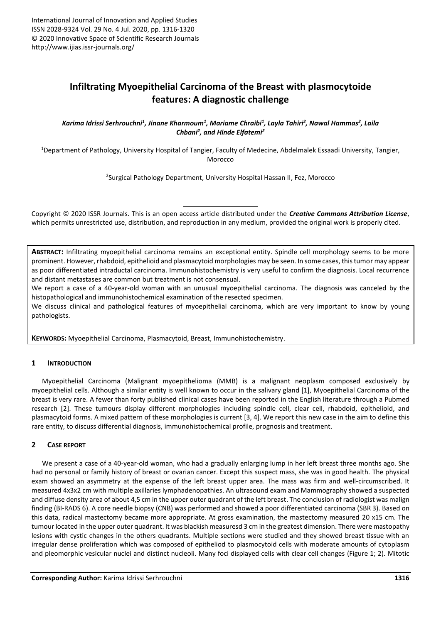# **Infiltrating Myoepithelial Carcinoma of the Breast with plasmocytoide features: A diagnostic challenge**

*Karima Idrissi Serhrouchni<sup>1</sup> , Jinane Kharmoum<sup>1</sup> , Mariame Chraibi<sup>1</sup> , Layla Tahiri<sup>2</sup> , Nawal Hammas<sup>2</sup> , Laila Chbani<sup>2</sup> , and Hinde Elfatemi<sup>2</sup>*

<sup>1</sup>Department of Pathology, University Hospital of Tangier, Faculty of Medecine, Abdelmalek Essaadi University, Tangier, Morocco

<sup>2</sup>Surgical Pathology Department, University Hospital Hassan II, Fez, Morocco

Copyright © 2020 ISSR Journals. This is an open access article distributed under the *Creative Commons Attribution License*, which permits unrestricted use, distribution, and reproduction in any medium, provided the original work is properly cited.

**ABSTRACT:** Infiltrating myoepithelial carcinoma remains an exceptional entity. Spindle cell morphology seems to be more prominent. However, rhabdoid, epithelioid and plasmacytoid morphologies may be seen. In some cases, this tumor may appear as poor differentiated intraductal carcinoma. Immunohistochemistry is very useful to confirm the diagnosis. Local recurrence and distant metastases are common but treatment is not consensual.

We report a case of a 40-year-old woman with an unusual myoepithelial carcinoma. The diagnosis was canceled by the histopathological and immunohistochemical examination of the resected specimen.

We discuss clinical and pathological features of myoepithelial carcinoma, which are very important to know by young pathologists.

**KEYWORDS:** Myoepithelial Carcinoma, Plasmacytoid, Breast, Immunohistochemistry.

# **1 INTRODUCTION**

Myoepithelial Carcinoma (Malignant myoepithelioma (MMB) is a malignant neoplasm composed exclusively by myoepithelial cells. Although a similar entity is well known to occur in the salivary gland [1], Myoepithelial Carcinoma of the breast is very rare. A fewer than forty published clinical cases have been reported in the English literature through a Pubmed research [2]. These tumours display different morphologies including spindle cell, clear cell, rhabdoid, epithelioid, and plasmacytoid forms. A mixed pattern of these morphologies is current [3, 4]. We report this new case in the aim to define this rare entity, to discuss differential diagnosis, immunohistochemical profile, prognosis and treatment.

# **2 CASE REPORT**

We present a case of a 40-year-old woman, who had a gradually enlarging lump in her left breast three months ago. She had no personal or family history of breast or ovarian cancer. Except this suspect mass, she was in good health. The physical exam showed an asymmetry at the expense of the left breast upper area. The mass was firm and well-circumscribed. It measured 4x3x2 cm with multiple axillaries lymphadenopathies. An ultrasound exam and Mammography showed a suspected and diffuse density area of about 4,5 cm in the upper outer quadrant of the left breast. The conclusion of radiologist was malign finding (BI-RADS 6). A core needle biopsy (CNB) was performed and showed a poor differentiated carcinoma (SBR 3). Based on this data, radical mastectomy became more appropriate. At gross examination, the mastectomy measured 20 x15 cm. The tumour located in the upper outer quadrant. It was blackish measuresd 3 cm in the greatest dimension. There were mastopathy lesions with cystic changes in the others quadrants. Multiple sections were studied and they showed breast tissue with an irregular dense proliferation which was composed of epitheliod to plasmocytoid cells with moderate amounts of cytoplasm and pleomorphic vesicular nuclei and distinct nucleoli. Many foci displayed cells with clear cell changes (Figure 1; 2). Mitotic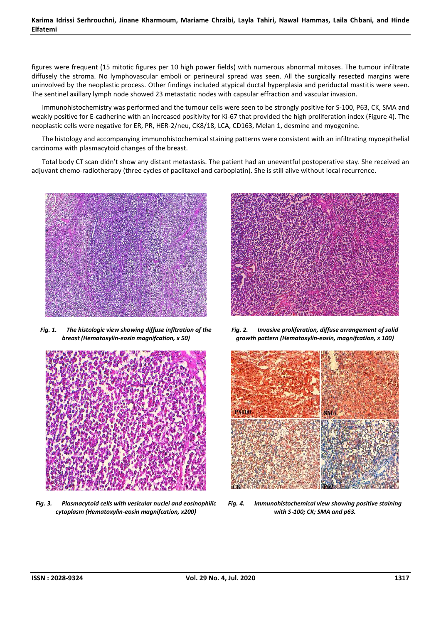#### **Karima Idrissi Serhrouchni, Jinane Kharmoum, Mariame Chraibi, Layla Tahiri, Nawal Hammas, Laila Chbani, and Hinde Elfatemi**

figures were frequent (15 mitotic figures per 10 high power fields) with numerous abnormal mitoses. The tumour infiltrate diffusely the stroma. No lymphovascular emboli or perineural spread was seen. All the surgically resected margins were uninvolved by the neoplastic process. Other findings included atypical ductal hyperplasia and periductal mastitis were seen. The sentinel axillary lymph node showed 23 metastatic nodes with capsular effraction and vascular invasion.

Immunohistochemistry was performed and the tumour cells were seen to be strongly positive for S-100, P63, CK, SMA and weakly positive for E-cadherine with an increased positivity for Ki-67 that provided the high proliferation index (Figure 4). The neoplastic cells were negative for ER, PR, HER-2/neu, CK8/18, LCA, CD163, Melan 1, desmine and myogenine.

The histology and accompanying immunohistochemical staining patterns were consistent with an infiltrating myoepithelial carcinoma with plasmacytoid changes of the breast.

Total body CT scan didn't show any distant metastasis. The patient had an uneventful postoperative stay. She received an adjuvant chemo-radiotherapy (three cycles of paclitaxel and carboplatin). She is still alive without local recurrence.



*Fig. 1. The histologic view showing diffuse infltration of the breast (Hematoxylin-eosin magnifcation, x 50)* 



*Fig. 3. Plasmacytoid cells with vesicular nuclei and eosinophilic cytoplasm (Hematoxylin-eosin magnifcation, x200)* 



*Fig. 2. Invasive proliferation, diffuse arrangement of solid growth pattern (Hematoxylin-eosin, magnifcation, x 100)* 



*Fig. 4. Immunohistochemical view showing positive staining with S*‑*100; CK; SMA and p63.*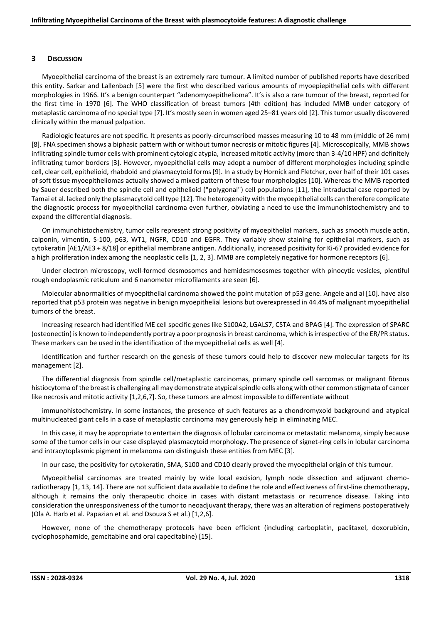## **3 DISCUSSION**

Myoepithelial carcinoma of the breast is an extremely rare tumour. A limited number of published reports have described this entity. Sarkar and Lallenbach [5] were the first who described various amounts of myoepiepithelial cells with different morphologies in 1966. It's a benign counterpart "adenomyoepithelioma". It's is also a rare tumour of the breast, reported for the first time in 1970 [6]. The WHO classification of breast tumors (4th edition) has included MMB under category of metaplastic carcinoma of no special type [7]. It's mostly seen in women aged 25–81 years old [2]. This tumor usually discovered clinically within the manual palpation.

Radiologic features are not specific. It presents as poorly-circumscribed masses measuring 10 to 48 mm (middle of 26 mm) [8]. FNA specimen shows a biphasic pattern with or without tumor necrosis or mitotic figures [4]. Microscopically, MMB shows infiltrating spindle tumor cells with prominent cytologic atypia, increased mitotic activity (more than 3-4/10 HPF) and definitely infiltrating tumor borders [3]. However, myoepithelial cells may adopt a number of different morphologies including spindle cell, clear cell, epithelioid, rhabdoid and plasmacytoid forms [9]. In a study by Hornick and Fletcher, over half of their 101 cases of soft tissue myoepitheliomas actually showed a mixed pattern of these four morphologies [10]. Whereas the MMB reported by Sauer described both the spindle cell and epithelioid ("polygonal") cell populations [11], the intraductal case reported by Tamai et al. lacked only the plasmacytoid cell type [12]. The heterogeneity with the myoepithelial cells can therefore complicate the diagnostic process for myoepithelial carcinoma even further, obviating a need to use the immunohistochemistry and to expand the differential diagnosis.

On immunohistochemistry, tumor cells represent strong positivity of myoepithelial markers, such as smooth muscle actin, calponin, vimentin, S-100, p63, WT1, NGFR, CD10 and EGFR. They variably show staining for epithelial markers, such as cytokeratin [AE1/AE3 + 8/18] or epithelial membrane antigen. Additionally, increased positivity for Ki-67 provided evidence for a high proliferation index among the neoplastic cells [1, 2, 3]. MMB are completely negative for hormone receptors [6].

Under electron microscopy, well-formed desmosomes and hemidesmososmes together with pinocytic vesicles, plentiful rough endoplasmic reticulum and 6 nanometer microfilaments are seen [6].

Molecular abnormalities of myoepithelial carcinoma showed the point mutation of p53 gene. Angele and al [10]. have also reported that p53 protein was negative in benign myoepithelial lesions but overexpressed in 44.4% of malignant myoepithelial tumors of the breast.

Increasing research had identified ME cell specific genes like S100A2, LGALS7, CSTA and BPAG [4]. The expression of SPARC (osteonectin) is known to independently portray a poor prognosis in breast carcinoma, which is irrespective of the ER/PR status. These markers can be used in the identification of the myoepithelial cells as well [4].

Identification and further research on the genesis of these tumors could help to discover new molecular targets for its management [2].

The differential diagnosis from spindle cell/metaplastic carcinomas, primary spindle cell sarcomas or malignant fibrous histiocytoma of the breast is challenging all may demonstrate atypical spindle cells along with other common stigmata of cancer like necrosis and mitotic activity [1,2,6,7]. So, these tumors are almost impossible to differentiate without

immunohistochemistry. In some instances, the presence of such features as a chondromyxoid background and atypical multinucleated giant cells in a case of metaplastic carcinoma may generously help in eliminating MEC.

In this case, it may be appropriate to entertain the diagnosis of lobular carcinoma or metastatic melanoma, simply because some of the tumor cells in our case displayed plasmacytoid morphology. The presence of signet-ring cells in lobular carcinoma and intracytoplasmic pigment in melanoma can distinguish these entities from MEC [3].

In our case, the positivity for cytokeratin, SMA, S100 and CD10 clearly proved the myoepithelal origin of this tumour.

Myoepithelial carcinomas are treated mainly by wide local excision, lymph node dissection and adjuvant chemoradiotherapy [1, 13, 14]. There are not sufficient data available to define the role and effectiveness of first-line chemotherapy, although it remains the only therapeutic choice in cases with distant metastasis or recurrence disease. Taking into consideration the unresponsiveness of the tumor to neoadjuvant therapy, there was an alteration of regimens postoperatively (Ola A. Harb et al. Papazian et al. and Dsouza S et al.) [1,2,6].

However, none of the chemotherapy protocols have been efficient (including carboplatin, paclitaxel, doxorubicin, cyclophosphamide, gemcitabine and oral capecitabine) [15].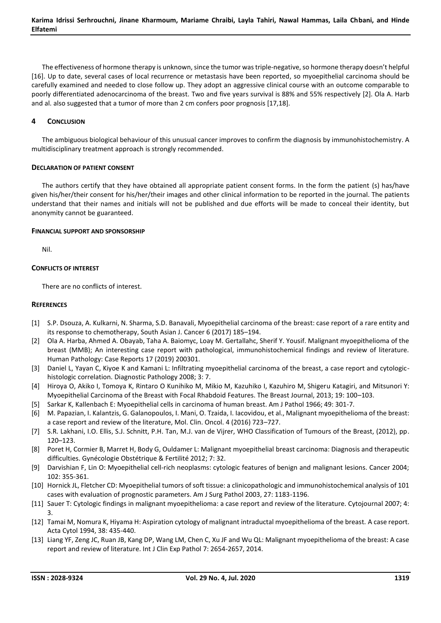The effectiveness of hormone therapy is unknown, since the tumor was triple-negative, so hormone therapy doesn't helpful [16]. Up to date, several cases of local recurrence or metastasis have been reported, so myoepithelial carcinoma should be carefully examined and needed to close follow up. They adopt an aggressive clinical course with an outcome comparable to poorly differentiated adenocarcinoma of the breast. Two and five years survival is 88% and 55% respectively [2]. Ola A. Harb and al. also suggested that a tumor of more than 2 cm confers poor prognosis [17,18].

## **4 CONCLUSION**

The ambiguous biological behaviour of this unusual cancer improves to confirm the diagnosis by immunohistochemistry. A multidisciplinary treatment approach is strongly recommended.

## **DECLARATION OF PATIENT CONSENT**

The authors certify that they have obtained all appropriate patient consent forms. In the form the patient (s) has/have given his/her/their consent for his/her/their images and other clinical information to be reported in the journal. The patients understand that their names and initials will not be published and due efforts will be made to conceal their identity, but anonymity cannot be guaranteed.

#### **FINANCIAL SUPPORT AND SPONSORSHIP**

Nil.

## **CONFLICTS OF INTEREST**

There are no conflicts of interest.

#### **REFERENCES**

- [1] S.P. Dsouza, A. Kulkarni, N. Sharma, S.D. Banavali, Myoepithelial carcinoma of the breast: case report of a rare entity and its response to chemotherapy, South Asian J. Cancer 6 (2017) 185–194.
- [2] Ola A. Harba, Ahmed A. Obayab, Taha A. Baiomyc, Loay M. Gertallahc, Sherif Y. Yousif. Malignant myoepithelioma of the breast (MMB); An interesting case report with pathological, immunohistochemical findings and review of literature. Human Pathology: Case Reports 17 (2019) 200301.
- [3] Daniel L, Yayan C, Kiyoe K and Kamani L: Infiltrating myoepithelial carcinoma of the breast, a case report and cytologichistologic correlation. Diagnostic Pathology 2008; 3: 7.
- [4] Hiroya O, Akiko I, Tomoya K, Rintaro O Kunihiko M, Mikio M, Kazuhiko I, Kazuhiro M, Shigeru Katagiri, and Mitsunori Y: Myoepithelial Carcinoma of the Breast with Focal Rhabdoid Features. The Breast Journal, 2013; 19: 100–103.
- [5] Sarkar K, Kallenbach E: Myoepithelial cells in carcinoma of human breast. Am J Pathol 1966; 49: 301-7.
- [6] M. Papazian, I. Kalantzis, G. Galanopoulos, I. Mani, O. Tzaida, I. Iacovidou, et al., Malignant myoepithelioma of the breast: a case report and review of the literature, Mol. Clin. Oncol. 4 (2016) 723–727.
- [7] S.R. Lakhani, I.O. Ellis, S.J. Schnitt, P.H. Tan, M.J. van de Vijrer, WHO Classification of Tumours of the Breast, (2012), pp. 120–123.
- [8] Poret H, Cormier B, Marret H, Body G, Ouldamer L: Malignant myoepithelial breast carcinoma: Diagnosis and therapeutic difficulties. Gynécologie Obstétrique & Fertilité 2012; 7: 32.
- [9] Darvishian F, Lin O: Myoepithelial cell-rich neoplasms: cytologic features of benign and malignant lesions. Cancer 2004; 102: 355-361.
- [10] Hornick JL, Fletcher CD: Myoepithelial tumors of soft tissue: a clinicopathologic and immunohistochemical analysis of 101 cases with evaluation of prognostic parameters. Am J Surg Pathol 2003, 27: 1183-1196.
- [11] Sauer T: Cytologic findings in malignant myoepithelioma: a case report and review of the literature. Cytojournal 2007; 4: 3.
- [12] Tamai M, Nomura K, Hiyama H: Aspiration cytology of malignant intraductal myoepithelioma of the breast. A case report. Acta Cytol 1994, 38: 435-440.
- [13] Liang YF, Zeng JC, Ruan JB, Kang DP, Wang LM, Chen C, Xu JF and Wu QL: Malignant myoepithelioma of the breast: A case report and review of literature. Int J Clin Exp Pathol 7: 2654-2657, 2014.